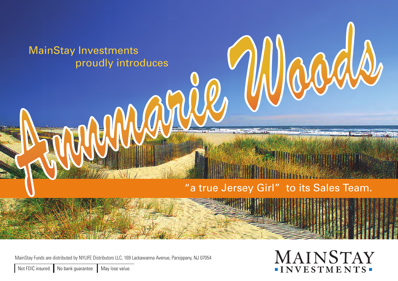

MainStay Funds are distributed by NYLIFE Distributors LLC, 169 Lackawanna Avenue, Parsippany, NJ 07054

MAINSTAY -INVESTMENTS-

Not FDIC insured. No bank guarantee. May lose value.